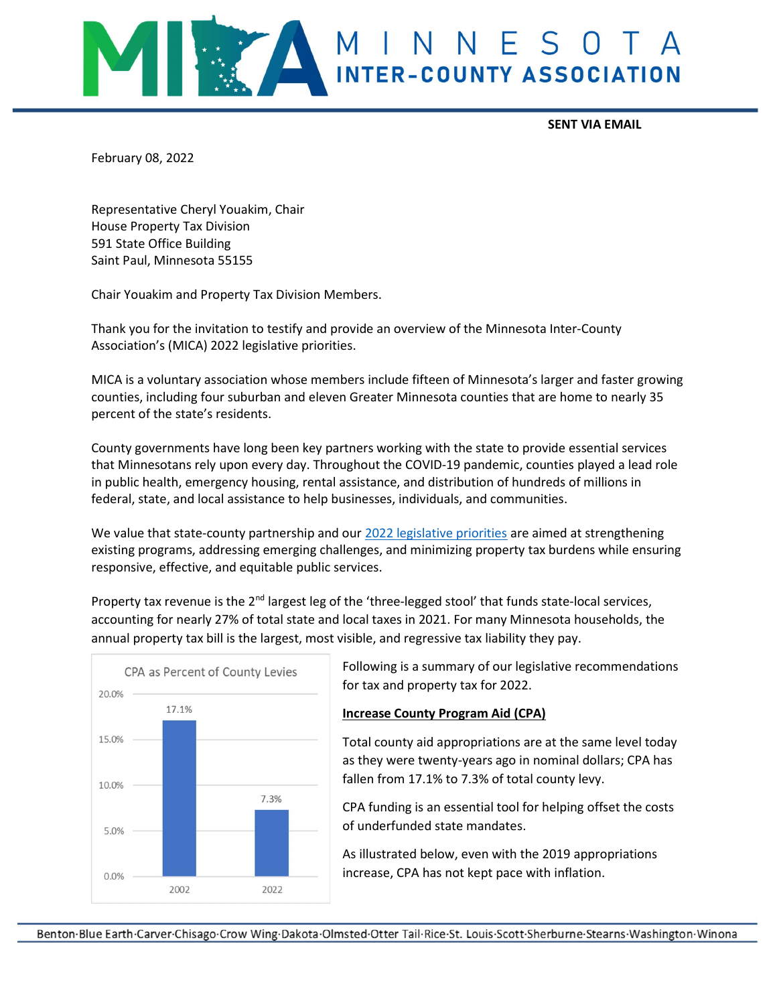

SENT VIA EMAIL

February 08, 2022

Representative Cheryl Youakim, Chair House Property Tax Division 591 State Office Building Saint Paul, Minnesota 55155

Chair Youakim and Property Tax Division Members.

Thank you for the invitation to testify and provide an overview of the Minnesota Inter-County Association's (MICA) 2022 legislative priorities.

MICA is a voluntary association whose members include fifteen of Minnesota's larger and faster growing counties, including four suburban and eleven Greater Minnesota counties that are home to nearly 35 percent of the state's residents.

County governments have long been key partners working with the state to provide essential services that Minnesotans rely upon every day. Throughout the COVID-19 pandemic, counties played a lead role in public health, emergency housing, rental assistance, and distribution of hundreds of millions in federal, state, and local assistance to help businesses, individuals, and communities.

We value that state-county partnership and our 2022 legislative priorities are aimed at strengthening existing programs, addressing emerging challenges, and minimizing property tax burdens while ensuring responsive, effective, and equitable public services.

Property tax revenue is the 2<sup>nd</sup> largest leg of the 'three-legged stool' that funds state-local services, accounting for nearly 27% of total state and local taxes in 2021. For many Minnesota households, the annual property tax bill is the largest, most visible, and regressive tax liability they pay.



Following is a summary of our legislative recommendations for tax and property tax for 2022.

#### Increase County Program Aid (CPA)

Total county aid appropriations are at the same level today as they were twenty-years ago in nominal dollars; CPA has fallen from 17.1% to 7.3% of total county levy.

CPA funding is an essential tool for helping offset the costs of underfunded state mandates.

As illustrated below, even with the 2019 appropriations increase, CPA has not kept pace with inflation.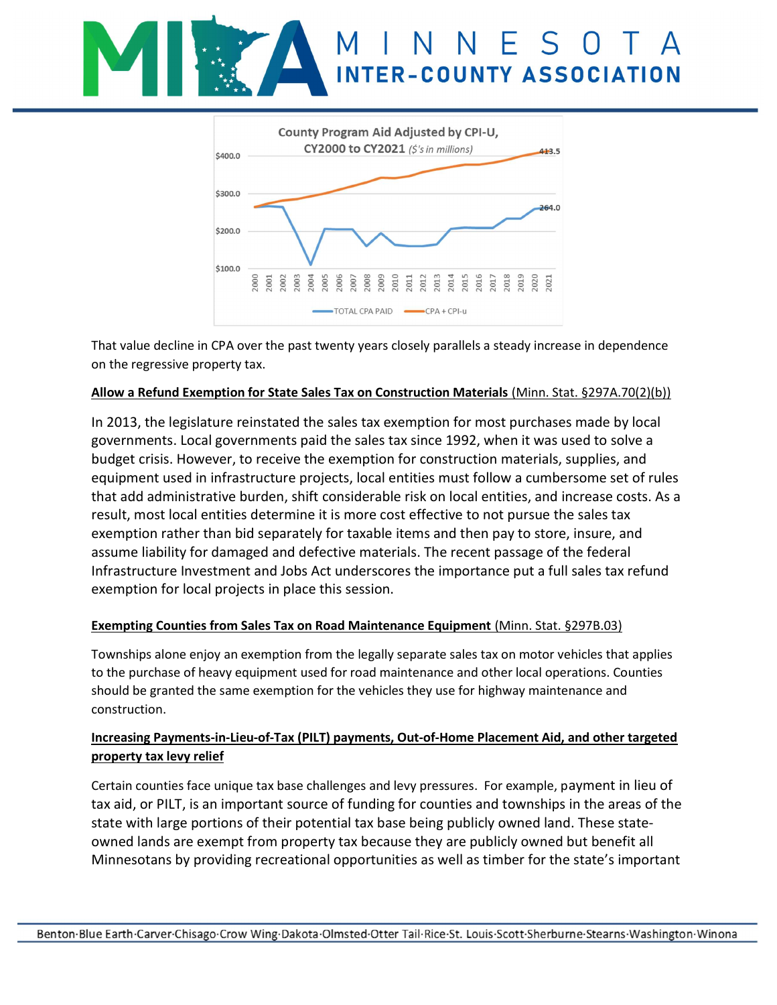



That value decline in CPA over the past twenty years closely parallels a steady increase in dependence on the regressive property tax.

#### Allow a Refund Exemption for State Sales Tax on Construction Materials (Minn. Stat. §297A.70(2)(b))

In 2013, the legislature reinstated the sales tax exemption for most purchases made by local governments. Local governments paid the sales tax since 1992, when it was used to solve a budget crisis. However, to receive the exemption for construction materials, supplies, and equipment used in infrastructure projects, local entities must follow a cumbersome set of rules that add administrative burden, shift considerable risk on local entities, and increase costs. As a result, most local entities determine it is more cost effective to not pursue the sales tax exemption rather than bid separately for taxable items and then pay to store, insure, and assume liability for damaged and defective materials. The recent passage of the federal Infrastructure Investment and Jobs Act underscores the importance put a full sales tax refund exemption for local projects in place this session.

### Exempting Counties from Sales Tax on Road Maintenance Equipment (Minn. Stat. §297B.03)

Townships alone enjoy an exemption from the legally separate sales tax on motor vehicles that applies to the purchase of heavy equipment used for road maintenance and other local operations. Counties should be granted the same exemption for the vehicles they use for highway maintenance and construction.

## Increasing Payments-in-Lieu-of-Tax (PILT) payments, Out-of-Home Placement Aid, and other targeted property tax levy relief

Certain counties face unique tax base challenges and levy pressures. For example, payment in lieu of tax aid, or PILT, is an important source of funding for counties and townships in the areas of the state with large portions of their potential tax base being publicly owned land. These stateowned lands are exempt from property tax because they are publicly owned but benefit all Minnesotans by providing recreational opportunities as well as timber for the state's important